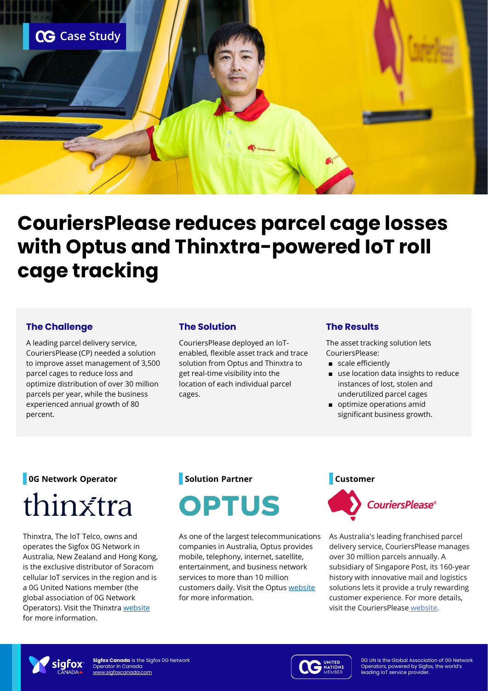

# **CouriersPlease reduces parcel cage losses with Optus and Thinxtra-powered IoT roll cage tracking**

### **The Challenge**

A leading parcel delivery service, CouriersPlease (CP) needed a solution to improve asset management of 3,500 parcel cages to reduce loss and optimize distribution of over 30 million parcels per year, while the business experienced annual growth of 80 percent.

### **The Solution**

CouriersPlease deployed an IoTenabled, flexible asset track and trace solution from Optus and Thinxtra to get real-time visibility into the location of each individual parcel cages.

#### **The Results**

The asset tracking solution lets CouriersPlease:

- scale efficiently
- use location data insights to reduce instances of lost, stolen and underutilized parcel cages
- optimize operations amid significant business growth.

# **0G Network Operator** thinxtra

Thinxtra, The IoT Telco, owns and operates the Sigfox 0G Network in Australia, New Zealand and Hong Kong, is the exclusive distributor of Soracom cellular IoT services in the region and is a 0G United Nations member (the global association of 0G Network Operators). Visit the Thinxtra [website](https://thinxtra.com/)  for more information.

# **Solution Partner**



As one of the largest telecommunications companies in Australia, Optus provides mobile, telephony, internet, satellite, entertainment, and business network services to more than 10 million customers daily. Visit the Optus [website](https://www.optus.com.au/)  for more information.



As Australia's leading franchised parcel delivery service, CouriersPlease manages over 30 million parcels annually. A subsidiary of Singapore Post, its 160-year history with innovative mail and logistics solutions lets it provide a truly rewarding customer experience. For more details, visit the CouriersPlease [website.](https://www.couriersplease.com.au/)



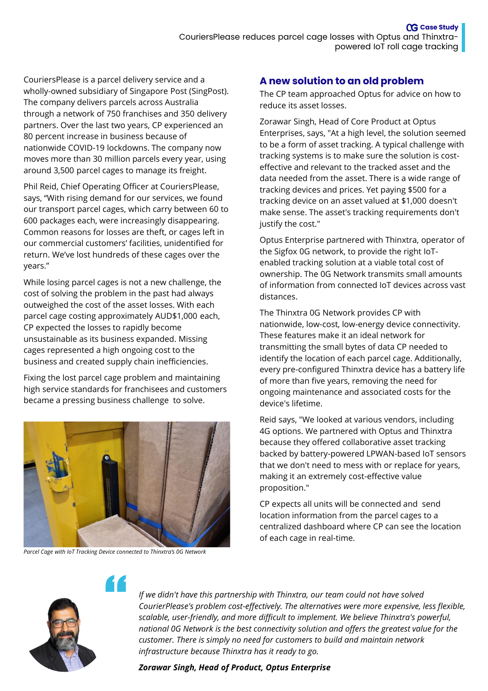CouriersPlease is a parcel delivery service and a wholly-owned subsidiary of Singapore Post (SingPost). The company delivers parcels across Australia through a network of 750 franchises and 350 delivery partners. Over the last two years, CP experienced an 80 percent increase in business because of nationwide COVID-19 lockdowns. The company now moves more than 30 million parcels every year, using around 3,500 parcel cages to manage its freight.

Phil Reid, Chief Operating Officer at CouriersPlease, says, "With rising demand for our services, we found our transport parcel cages, which carry between 60 to 600 packages each, were increasingly disappearing. Common reasons for losses are theft, or cages left in our commercial customers' facilities, unidentified for return. We've lost hundreds of these cages over the years."

While losing parcel cages is not a new challenge, the cost of solving the problem in the past had always outweighed the cost of the asset losses. With each parcel cage costing approximately AUD\$1,000 each, CP expected the losses to rapidly become unsustainable as its business expanded. Missing cages represented a high ongoing cost to the business and created supply chain inefficiencies.

Fixing the lost parcel cage problem and maintaining high service standards for franchisees and customers became a pressing business challenge to solve.



*Parcel Cage with IoT Tracking Device connected to Thinxtra's 0G Network* 

"

## **A new solution to an old problem**

The CP team approached Optus for advice on how to reduce its asset losses.

Zorawar Singh, Head of Core Product at Optus Enterprises, says, "At a high level, the solution seemed to be a form of asset tracking. A typical challenge with tracking systems is to make sure the solution is costeffective and relevant to the tracked asset and the data needed from the asset. There is a wide range of tracking devices and prices. Yet paying \$500 for a tracking device on an asset valued at \$1,000 doesn't make sense. The asset's tracking requirements don't justify the cost."

Optus Enterprise partnered with Thinxtra, operator of the Sigfox 0G network, to provide the right IoTenabled tracking solution at a viable total cost of ownership. The 0G Network transmits small amounts of information from connected IoT devices across vast distances.

The Thinxtra 0G Network provides CP with nationwide, low-cost, low-energy device connectivity. These features make it an ideal network for transmitting the small bytes of data CP needed to identify the location of each parcel cage. Additionally, every pre-configured Thinxtra device has a battery life of more than five years, removing the need for ongoing maintenance and associated costs for the device's lifetime.

Reid says, "We looked at various vendors, including 4G options. We partnered with Optus and Thinxtra because they offered collaborative asset tracking backed by battery-powered LPWAN-based IoT sensors that we don't need to mess with or replace for years, making it an extremely cost-effective value proposition."

CP expects all units will be connected and send location information from the parcel cages to a centralized dashboard where CP can see the location of each cage in real-time.



*If we didn't have this partnership with Thinxtra, our team could not have solved CourierPlease's problem cost-effectively. The alternatives were more expensive, less flexible, scalable, user-friendly, and more difficult to implement. We believe Thinxtra's powerful, national 0G Network is the best connectivity solution and offers the greatest value for the customer. There is simply no need for customers to build and maintain network infrastructure because Thinxtra has it ready to go.* 

#### *Zorawar Singh, Head of Product, Optus Enterprise*